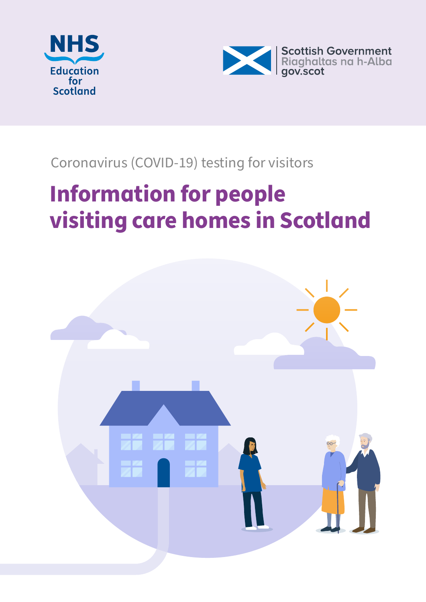



# Coronavirus (COVID-19) testing for visitors

# **Information for people visiting care homes in Scotland**

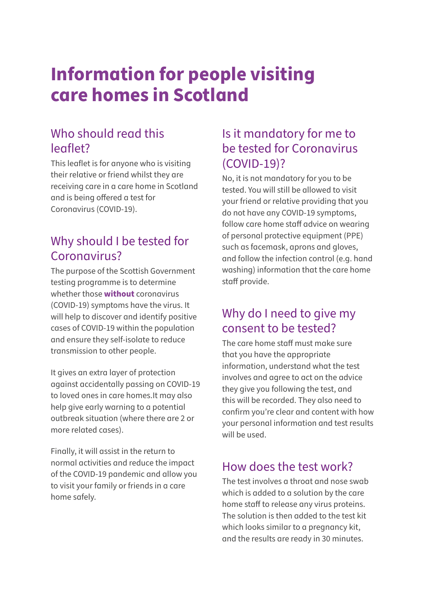# **Information for people visiting care homes in Scotland**

#### Who should read this leaflet?

This leaflet is for anyone who is visiting their relative or friend whilst they are receiving care in a care home in Scotland and is being offered a test for Coronavirus (COVID-19).

# Why should I be tested for Coronavirus?

The purpose of the Scottish Government testing programme is to determine whether those **without** coronavirus (COVID-19) symptoms have the virus. It will help to discover and identify positive cases of COVID-19 within the population and ensure they self-isolate to reduce transmission to other people.

It gives an extra layer of protection against accidentally passing on COVID-19 to loved ones in care homes.It may also help give early warning to a potential outbreak situation (where there are 2 or more related cases).

Finally, it will assist in the return to normal activities and reduce the impact of the COVID-19 pandemic and allow you to visit your family or friends in a care home safely.

#### Is it mandatory for me to be tested for Coronavirus (COVID-19)?

No, it is not mandatory for you to be tested. You will still be allowed to visit your friend or relative providing that you do not have any COVID-19 symptoms, follow care home staff advice on wearing of personal protective equipment (PPE) such as facemask, aprons and gloves, and follow the infection control (e.g. hand washing) information that the care home staff provide.

#### Why do I need to give my consent to be tested?

The care home staff must make sure that you have the appropriate information, understand what the test involves and agree to act on the advice they give you following the test, and this will be recorded. They also need to confirm you're clear and content with how your personal information and test results will be used.

#### How does the test work?

The test involves a throat and nose swab which is added to a solution by the care home staff to release any virus proteins. The solution is then added to the test kit which looks similar to a pregnancy kit, and the results are ready in 30 minutes.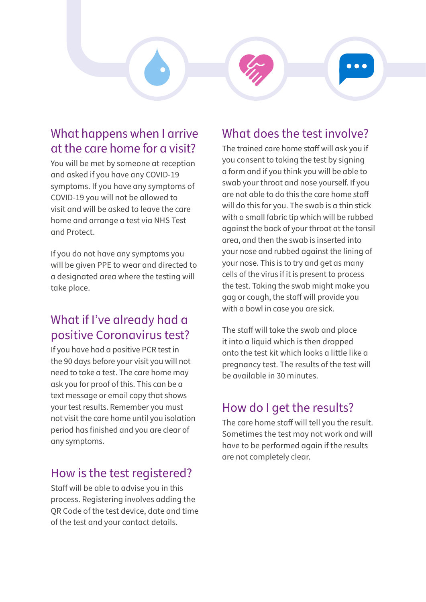

#### What happens when I arrive at the care home for a visit?

You will be met by someone at reception and asked if you have any COVID-19 symptoms. If you have any symptoms of COVID-19 you will not be allowed to visit and will be asked to leave the care home and arrange a test via NHS Test and Protect.

If you do not have any symptoms you will be given PPE to wear and directed to a designated area where the testing will take place.

# What if I've already had a positive Coronavirus test?

If you have had a positive PCR test in the 90 days before your visit you will not need to take a test. The care home may ask you for proof of this. This can be a text message or email copy that shows your test results. Remember you must not visit the care home until you isolation period has finished and you are clear of any symptoms.

#### How is the test registered?

Staff will be able to advise you in this process. Registering involves adding the QR Code of the test device, date and time of the test and your contact details.

#### What does the test involve?

The trained care home staff will ask you if you consent to taking the test by signing a form and if you think you will be able to swab your throat and nose yourself. If you are not able to do this the care home staff will do this for you. The swab is a thin stick with a small fabric tip which will be rubbed against the back of your throat at the tonsil area, and then the swab is inserted into your nose and rubbed against the lining of your nose. This is to try and get as many cells of the virus if it is present to process the test. Taking the swab might make you gag or cough, the staff will provide you with a bowl in case you are sick.

The staff will take the swab and place it into a liquid which is then dropped onto the test kit which looks a little like a pregnancy test. The results of the test will be available in 30 minutes.

# How do I get the results?

The care home staff will tell you the result. Sometimes the test may not work and will have to be performed again if the results are not completely clear.